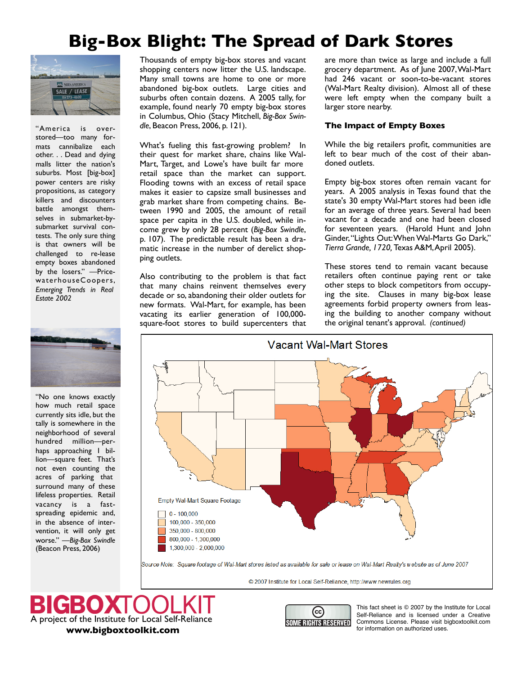## **Big-Box Blight: The Spread of Dark Stores**



"America is overstored—too many formats cannibalize each other. . . Dead and dying malls litter the nation's suburbs. Most [big-box] power centers are risky propositions, as category killers and discounters battle amongst themselves in submarket-bysubmarket survival contests. The only sure thing is that owners will be challenged to re-lease empty boxes abandoned by the losers." —Pricewa terhouseCoopers, *Emerging Trends in Real Estate 2002*



"No one knows exactly how much retail space currently sits idle, but the tally is somewhere in the neighborhood of several hundred million—perhaps approaching 1 billion—square feet. That's not even counting the acres of parking that surround many of these lifeless properties. Retail vacancy is a fastspreading epidemic and, in the absence of intervention, it will only get worse." —*Big-Box Swindle* (Beacon Press, 2006)

Thousands of empty big-box stores and vacant shopping centers now litter the U.S. landscape. Many small towns are home to one or more abandoned big-box outlets. Large cities and suburbs often contain dozens. A 2005 tally, for example, found nearly 70 empty big-box stores in Columbus, Ohio (Stacy Mitchell, *Big-Box Swindle*, Beacon Press, 2006, p. 121).

What's fueling this fast-growing problem? In their quest for market share, chains like Wal-Mart, Target, and Lowe's have built far more retail space than the market can support. Flooding towns with an excess of retail space makes it easier to capsize small businesses and grab market share from competing chains. Between 1990 and 2005, the amount of retail space per capita in the U.S. doubled, while income grew by only 28 percent (*Big-Box Swindle*, p. 107). The predictable result has been a dramatic increase in the number of derelict shopping outlets.

Also contributing to the problem is that fact that many chains reinvent themselves every decade or so, abandoning their older outlets for new formats. Wal-Mart, for example, has been vacating its earlier generation of 100,000 square-foot stores to build supercenters that are more than twice as large and include a full grocery department. As of June 2007,Wal-Mart had 246 vacant or soon-to-be-vacant stores (Wal-Mart Realty division). Almost all of these were left empty when the company built a larger store nearby.

## **The Impact of Empty Boxes**

While the big retailers profit, communities are left to bear much of the cost of their abandoned outlets.

Empty big-box stores often remain vacant for years. A 2005 analysis in Texas found that the state's 30 empty Wal-Mart stores had been idle for an average of three years. Several had been vacant for a decade and one had been closed for seventeen years. (Harold Hunt and John Ginder,"Lights Out:WhenWal-Marts Go Dark," *Tierra Grande, 1720,* Texas A&M,April 2005).

These stores tend to remain vacant because retailers often continue paying rent or take other steps to block competitors from occupying the site. Clauses in many big-box lease agreements forbid property owners from leasing the building to another company without the original tenant's approval. *(continued)*



© 2007 Institute for Local Self-Reliance, http://www.newrules.org

CBOX A project of the Institute for Local Self-Reliance **[www.bigboxtoolkit.com](http://www.bigboxtoolkit.com)**



This fact sheet is © 2007 by the Institute for Local Self-Reliance and is licensed under a Creative Commons License. Please visit bigboxtoolkit.com for information on authorized uses.